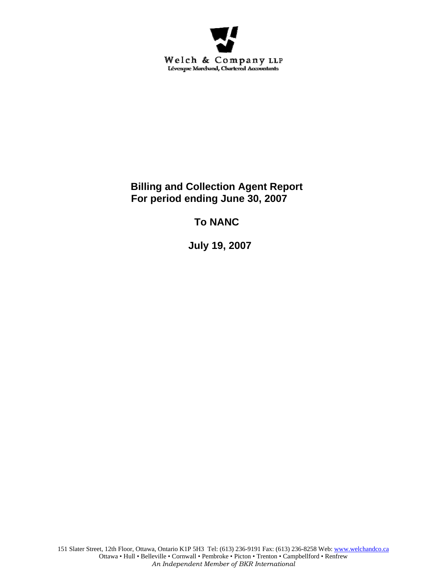

**Billing and Collection Agent Report For period ending June 30, 2007** 

**To NANC** 

 **July 19, 2007**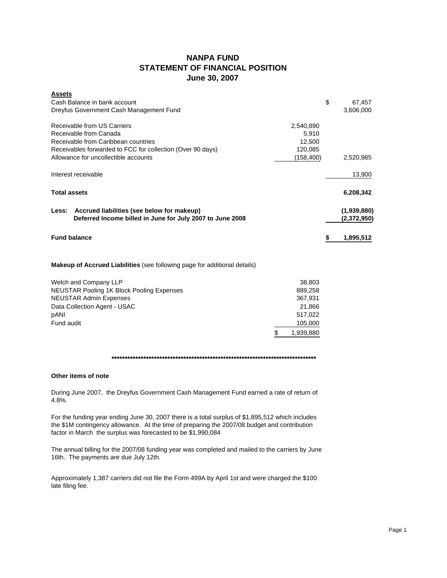## **NANPA FUND STATEMENT OF FINANCIAL POSITION June 30, 2007**

| <b>Assets</b>                                              |           |              |
|------------------------------------------------------------|-----------|--------------|
| Cash Balance in bank account                               |           | \$<br>67,457 |
| Dreyfus Government Cash Management Fund                    |           | 3,606,000    |
| Receivable from US Carriers                                | 2,540,890 |              |
| Receivable from Canada                                     | 5,910     |              |
| Receivable from Caribbean countries                        | 12,500    |              |
| Receivables forwarded to FCC for collection (Over 90 days) | 120,085   |              |
| Allowance for uncollectible accounts                       | (158,400) | 2,520,985    |
| Interest receivable                                        |           | 13,900       |
| <b>Total assets</b>                                        |           | 6,208,342    |
| Accrued liabilities (see below for makeup)<br>Less:        |           | (1,939,880)  |
| Deferred Income billed in June for July 2007 to June 2008  |           | (2,372,950)  |
| <b>Fund balance</b>                                        |           | 1,895,512    |

## **Makeup of Accrued Liabilities** (see following page for additional details)

| Welch and Company LLP                     | 38.803    |
|-------------------------------------------|-----------|
| NEUSTAR Pooling 1K Block Pooling Expenses | 889,258   |
| <b>NEUSTAR Admin Expenses</b>             | 367.931   |
| Data Collection Agent - USAC              | 21.866    |
| pANI                                      | 517.022   |
| Fund audit                                | 105,000   |
|                                           | 1,939,880 |

## **\*\*\*\*\*\*\*\*\*\*\*\*\*\*\*\*\*\*\*\*\*\*\*\*\*\*\*\*\*\*\*\*\*\*\*\*\*\*\*\*\*\*\*\*\*\*\*\*\*\*\*\*\*\*\*\*\*\*\*\*\*\*\*\*\*\*\*\*\*\*\*\*\*\*\*\*\***

## **Other items of note**

During June 2007, the Dreyfus Government Cash Management Fund earned a rate of return of 4.8%.

For the funding year ending June 30, 2007 there is a total surplus of \$1,895,512 which includes the \$1M contingency allowance. At the time of preparing the 2007/08 budget and contribution factor in March the surplus was forecasted to be \$1,990,084

The annual billing for the 2007/08 funding year was completed and mailed to the carriers by June 16th. The payments are due July 12th.

Approximately 1,387 carriers did not file the Form 499A by April 1st and were charged the \$100 late filing fee.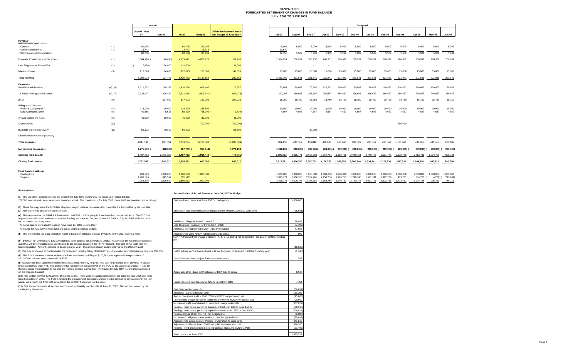#### **NANPA FUND FORECASTED STATEMENT OF CHANGES IN FUND BALANCE JULY 2006 TO JUNE 2008**

|                                                |            |                        | Actual               |                   |                     |                                                       |                          |                     |                     |                     |                 | <b>Budgeted</b>     |                          |                     |                 |                          |                     |
|------------------------------------------------|------------|------------------------|----------------------|-------------------|---------------------|-------------------------------------------------------|--------------------------|---------------------|---------------------|---------------------|-----------------|---------------------|--------------------------|---------------------|-----------------|--------------------------|---------------------|
|                                                |            | July 06 - May<br>07    | Jun-07               | <b>Total</b>      | <b>Budget</b>       | Difference between actual<br>and budget at June 30/07 | Jul-07                   | Aug-07              | <b>Sep-07</b>       | Oct-07              | <b>Nov-07</b>   | <b>Dec-07</b>       | Jan-08                   | Feb-08              | Mar-08          | Apr-08                   | Mav-08              |
| Revenue<br><b>International Contributions</b>  |            |                        |                      |                   |                     |                                                       |                          |                     |                     |                     |                 |                     |                          |                     |                 |                          |                     |
| Canada<br>Caribbean countries                  | (1)<br>(1) | 69,495<br>13.743       | $\sim$               | 69,495<br>13,743  | 69,495<br>13.743    |                                                       | 5,909<br>13,849          | 5,909               | 5,909<br>$\sim$     | 5,909               | 5,909<br>$\sim$ | 5,909<br>$\sim$     | 5,909<br>$\sim$          | 5,909               | 5,909           | 5,909                    | 5,909<br>$\sim$     |
| <b>Total International Contributions</b>       |            | 83,238                 | $\sim$               | 83,238            | 83,238              |                                                       | 19,758                   | 5.909               | 5,909               | 5,909               | 5,909           | 5,909               | 5,909                    | 5,909               | 5,909           | 5,909                    | 5,909               |
| Domestic Contributions - US carriers           | (1)        | 5,004,120              | 24,698)              | 4,979,422         | 4,876,926           | 102,496                                               | 2,354,951                | 200,932             | 200,932             | 200,932             | 200,932         | 200,932             | 200,932                  | 200,932             | 200,932         | 200,932                  | 200,932             |
| Late filing fees for Form 499A                 | (2)        | 7,400)                 | 138,400              | 131,000           | $\sim$              | 131,000                                               | $\overline{\phantom{a}}$ |                     | $\sim$              |                     |                 |                     | $\overline{\phantom{a}}$ |                     | $\sim$          | $\overline{\phantom{a}}$ |                     |
| Interest income                                | (3)        | 213,020                | 14,073               | 227,093           | 180,000             | 47,093                                                | 15,000                   | 15,000              | 15,000              | 15,000              | 15,000          | 15,000              | 15,000                   | 15,000              | 15,000          | 15,000                   | 15,000              |
| Total revenue                                  |            | 5,292,978              | 127,775              | 5,420,753         | 5,140,164           | 280,589                                               | 2,389,709                | 221,841             | 221,841             | 221,841             | 221,841         | 221,841             | 221,841                  | 221,841             | 221,841         | 221,841                  | 221,841             |
| <b>Expenses</b><br><b>NANPA Administration</b> | (4), (8)   | 1,311,952              | 126,202              | 1,438,154         | 1,421,467           | 16,687                                                | 133,867                  | 120,862             | 120,862             | 120,862             | 120,862         | 120,862             | 120,862                  | 120,862             | 120,862         | 120,862                  | 120,862             |
| 1K Block Pooling Administration                | (4), (7)   | 2,335,447              | 296,419              | 2,631,866         | 3,501,341 (         | 869,475)                                              | 292,266                  | 266,667             | 266,667             | 266,667             | 266.667         | 266,667             | 266,667                  | 266,667             | 266,667         | 266,667                  | 266.667             |
| pANI                                           | (9)        |                        | 517,022              | 517,022           | 150,000             | 367,022                                               | 18,750                   | 18,750              | 18,750              | 18,750              | 18,750          | 18,750              | 18,750                   | 18,750              | 18,750          | 18,750                   | 18,750              |
| <b>Billing and Collection</b>                  |            |                        |                      |                   |                     |                                                       |                          |                     |                     |                     |                 |                     |                          |                     |                 |                          |                     |
| Welch & Company LLP<br>Data Collection Agent   | (4)<br>(5) | 218,900<br>49,655      | 19,900<br>5,615      | 238,800<br>55,270 | 238,800<br>65,000 ( | <b>Section</b><br>9,730)                              | 19,900<br>4,667          | 19,900<br>4,667     | 19,900<br>4,667     | 19,900<br>4,667     | 19,900<br>4,667 | 19,900<br>4,667     | 19,900<br>4,667          | 19,900<br>4,667     | 19,900<br>4,667 | 19,900<br>4,667          | 19,900<br>4,667     |
| <b>Annual Operations Audit</b>                 | (6)        | 45,000                 | 30,000               | 75,000            | 30,000              | 45,000                                                |                          |                     |                     |                     |                 |                     |                          |                     |                 |                          |                     |
| <b>Carrier Audits</b>                          | (10)       | $\sim$                 | $\sim$               | <b>Section</b>    | 700,000 (           | 700,000)                                              |                          |                     |                     |                     |                 |                     |                          |                     | 700,000         | $\sim$                   |                     |
| Bad debt expense (recovery)                    | (11)       | 56,192                 | 700.00               | 56,892            | $\sim$              | 56,892                                                |                          |                     | 30,000              |                     |                 |                     | $\sim$                   |                     | $\sim$          | $\sim$                   |                     |
| Miscellaneous expense (recovery                |            | $\sim$                 | $\sim$               | . .               | .                   | <b>Card</b>                                           |                          | $\sim$              | $\sim$              | $\sim$              | $\sim$          | $\sim$              | $\sim$                   | $\sim$              | $\sim$          | $\sim$                   | <b>Service</b>      |
| <b>Total expenses</b>                          |            | 4.017.146              | 995.858              | 5.013.004         | 6,106,608           | (1.093.604)                                           | 469.450                  | 430.846             | 460.846             | 430,846             | 430.846         | 430,846             | 430.846                  | 430.846             | 1.130.846       | 430,846                  | 430.846             |
| Net revenue (expenses)                         |            | 1,275,832              | 868,083)             | 407,749           | 966,444)            | 1,374,193                                             | 1,920,259                | 209,005) (          | 239,005) (          | 209.005) (          | 209,005) (      | 209,005) (          | 209,005) (               | 209,005) (          | 909,005) (      | 209,005) (               | 209,005) ( 209,005) |
| <b>Opening fund balance</b>                    |            | 1,487,763              | 2,763,595            | 1,487,763         | 1,966,444           | 478,681                                               | 1,895,512                |                     | 3,815,771 3,606,766 | 3,367,761           | 3,158,756       | 2,949,751           | 2,740,746                | 2,531,741           | 2,322,736       | 1,413,731                | 1,204,726           |
| Closing fund balance                           |            | 2,763,595              | 1,895,512            | 1,895,512         | 1,000,000           | 895,512                                               | 3,815,771                | 3,606,766 3,367,761 |                     | 3,158,756 2,949,751 |                 | 2,740,746 2,531,741 |                          | 2,322,736 1,413,731 |                 | 1,204,726                | 995,721             |
| Fund balance makeup:                           |            |                        |                      |                   |                     |                                                       |                          |                     |                     |                     |                 |                     |                          |                     |                 |                          |                     |
| Contingency                                    |            | 999.999                | 1.000.000            | 1,000,000         | 1,000,000           |                                                       | 1.000.000                | 1.000.000           | 1.000.000           | 1.000.000           | 1.000.000       | 1.000.000           | 1.000.000                | 1.000.000           | 1,000,000       | 1,000,000                | 1,000,000           |
| Surplus                                        |            | 1,763,596<br>2,763,595 | 895,512<br>1.895.512 | 895,512           |                     |                                                       | 2,815,771                | 2,606,766           | 2,367,761           | 2,158,756           | 1,949,751       | 1,740,746           | 1,531,741                | 1,322,736           | 413,731         | 204,726                  | $4,279$ ) (         |

#### **Assumptions:**

#### **Reconciliation of Actual Results at June 30, 2007 to Budget**

|                                                                                                                                    | <u>Reconciliation of Actual Results at June 30, 2007 to Buddet</u> |  |
|------------------------------------------------------------------------------------------------------------------------------------|--------------------------------------------------------------------|--|
| (1) The US carrier contributions for the period from July 2006 to June 2007 is based upon actual billings.                         |                                                                    |  |
| 2007/08 International carrier revenue is based on actual. The contributions for July 2007 - June 2008 are based on actual billings | Budgeted fund balance at June 30/07 - contingency                  |  |
|                                                                                                                                    |                                                                    |  |

| (1) The OS carrier contributions for the period from July 2006 to June 2007 is based upon actual billings.                                                                                                                                              |                                                                                                             |                         |
|---------------------------------------------------------------------------------------------------------------------------------------------------------------------------------------------------------------------------------------------------------|-------------------------------------------------------------------------------------------------------------|-------------------------|
| 2007/08 International carrier revenue is based on actual. The contributions for July 2007 - June 2008 are based on actual billings                                                                                                                      | Budgeted fund balance at June 30/07 - contingency                                                           | 1.000.000               |
| (2) These fees represent the \$100 late filing fee charged to those companies that do not file the Form 499A by the due date.                                                                                                                           |                                                                                                             |                         |
| (3) Interest income projections are estimates                                                                                                                                                                                                           | Shortfall in fund incurred between budget period (March 2006) and June 2006                                 | (478.681)               |
| (4) The expenses for the NANPA Administration and Welch & Company LLP are based on contracts in force. The FCC has                                                                                                                                      |                                                                                                             |                         |
| approved a modification and extension of the Pooling contract for the period June 15, 2006 to July 14, 2007 while the re-bid                                                                                                                            |                                                                                                             |                         |
| for the contract is taking place.                                                                                                                                                                                                                       | Additional billings in July 06 - June 07                                                                    | 98.042                  |
| The same figures were used the period November 15, 2006 to June 2007.                                                                                                                                                                                   | Late filing fees (reversal) for Form 499A - 2006                                                            | (7,700)                 |
| The figures for July 2007 to May 2008 are based on the proposed budget.                                                                                                                                                                                 | Additional interest earned in July - April over budget                                                      | 47.093                  |
| (5) The expense for the Data Collection Agent is based on estimate of costs by USAC for the 2007 calendar year.                                                                                                                                         | Adiustment to June NANP Admin estimate to actual                                                            | 890                     |
|                                                                                                                                                                                                                                                         | NANP Admin contract change orders#6, 7, 8, 9.10 and 11 not budgeted for but paid in 2006/07 funding         |                         |
| (6) \$45,000 for 2004/05 and \$30,000 each has been accrued for 2005/06and 2006/07 fiscal vears for the annual operations                                                                                                                               | year                                                                                                        |                         |
| audit that will be conducted once Welch awards the contract based on the RFP's received. The cost of this audit has not                                                                                                                                 |                                                                                                             |                         |
| been negotiated. Amount recorded is based on prior year. The amount shown in June 2007 is for the 2006/07 audit.                                                                                                                                        |                                                                                                             | (15, 832)               |
| (7) The July forecasted amount includes the forecasted monthly billing of \$266,667 plus the cost of submitted change orders of \$30,005                                                                                                                | NANP Admin contract amendment #12 not budgeted for but paid in 2006/07 funding year                         | (1,745)                 |
| (8) The July forecasted amount includes the forecasted monthly billing of \$120,862 plus approved changes orders of                                                                                                                                     |                                                                                                             |                         |
| \$12,250and contract amendment #12 of \$755                                                                                                                                                                                                             | Data Collection fees - Adjust June estimate to actual                                                       | 783                     |
| (9) NeuStar has been appointed Interim Routing Number Authority for pANI. The cost for pANI has been provided for as per                                                                                                                                |                                                                                                             |                         |
| proposed change order #48. The change order has not yet been approved by the FCC so the value may change. It is to cov<br>the time period from initiation to the time the Pooling contract is awarded. The figures for July 2007 to June 2008 are based |                                                                                                             |                         |
| on the proposed budget.                                                                                                                                                                                                                                 | Adiust July 2006 -June 2007 estimate of DCA fees to actual                                                  | 8.947                   |
| (10) The budget allowed \$700,000 for 16 carrier audits. There were no audits conducted in the calendar year 2006 and none                                                                                                                              |                                                                                                             |                         |
| have been done in 2007. The FCC is revising the procurement procedure and will not be conducting any audits until this is in                                                                                                                            |                                                                                                             |                         |
| place. As a result, the \$700,000 provided in the 2006/07 budget will not be spent.                                                                                                                                                                     | Funds received from Neustar re NANC travel from 2000                                                        | 4.454                   |
| (11) The allowance covers all accounts considered potentially uncollectible at June 30, 2007. This will be covered by the                                                                                                                               |                                                                                                             |                         |
| contingency allowance.                                                                                                                                                                                                                                  | Bad debts not budgeted for                                                                                  | (56, 892)               |
|                                                                                                                                                                                                                                                         | Estimated late filing fees for 2007                                                                         | 138,700                 |
|                                                                                                                                                                                                                                                         | Annual operations audit - 2005, 2006 and 2007 not performed vet                                             | (45,000)                |
|                                                                                                                                                                                                                                                         | Unexpended budget for carrier audits not performed in 2006/07 budget year                                   | 700,000                 |
|                                                                                                                                                                                                                                                         | Increase of pANI costs based on proposed change order #48                                                   | (367.022)               |
|                                                                                                                                                                                                                                                         | Pooling - merit bonus portion of expired contract (Jan 1/06 to June 14/06)                                  | (170, 310)<br>(306.614) |
|                                                                                                                                                                                                                                                         | Pooling - merit bonus portion of expired contract (June 15/06 to Dec 31/06)                                 |                         |
|                                                                                                                                                                                                                                                         | Pooling change Order #41, 43, not budgeted for<br>Increase of bridge contracts maximum over budget estimate | (6, 807)<br>(55, 692)   |
|                                                                                                                                                                                                                                                         | Adjustment to actual costs of Pooling for July 2006 to June 2007                                            | 641,815                 |
|                                                                                                                                                                                                                                                         | Adjustment to May & June 2006 Pooling bill estimates to actual                                              | 888,580                 |
|                                                                                                                                                                                                                                                         | Pooling - fixed price portion of expired contract (Jan 1/06 to June 14/06)                                  | (121, 497)              |
|                                                                                                                                                                                                                                                         |                                                                                                             |                         |
|                                                                                                                                                                                                                                                         | Fund balance at June 30/07                                                                                  | 1,895,512               |
|                                                                                                                                                                                                                                                         |                                                                                                             |                         |